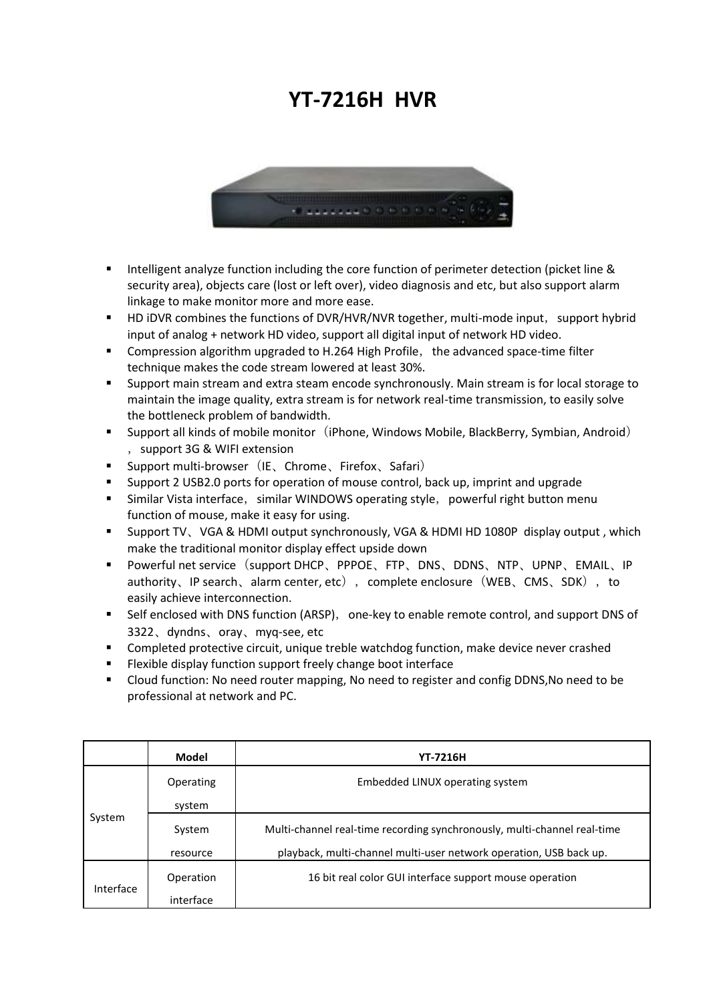## **YT-7216H HVR**



- Intelligent analyze function including the core function of perimeter detection (picket line & security area), objects care (lost or left over), video diagnosis and etc, but also support alarm linkage to make monitor more and more ease.
- HD iDVR combines the functions of DVR/HVR/NVR together, multi-mode input, support hybrid input of analog + network HD video, support all digital input of network HD video.
- **Compression algorithm upgraded to H.264 High Profile, the advanced space-time filter** technique makes the code stream lowered at least 30%.
- **Support main stream and extra steam encode synchronously. Main stream is for local storage to** maintain the image quality, extra stream is for network real-time transmission, to easily solve the bottleneck problem of bandwidth.
- **Support all kinds of mobile monitor** (iPhone, Windows Mobile, BlackBerry, Symbian, Android) ,support 3G & WIFI extension
- Support multi-browser (IE、Chrome、Firefox、Safari)
- **Support 2 USB2.0 ports for operation of mouse control, back up, imprint and upgrade**
- **Similar Vista interface, similar WINDOWS operating style, powerful right button menum** function of mouse, make it easy for using.
- Support TV、VGA & HDMI output synchronously, VGA & HDMI HD 1080P display output, which make the traditional monitor display effect upside down
- Powerful net service (support DHCP、PPPOE、FTP、DNS、DDNS、NTP、UPNP、EMAIL、IP authority、IP search、alarm center, etc), complete enclosure(WEB、CMS、SDK), to easily achieve interconnection.
- Self enclosed with DNS function (ARSP), one-key to enable remote control, and support DNS of 3322、dyndns、oray、myq-see, etc
- Completed protective circuit, unique treble watchdog function, make device never crashed
- **Flexible display function support freely change boot interface**
- Cloud function: No need router mapping, No need to register and config DDNS,No need to be professional at network and PC.

|           | Model     | <b>YT-7216H</b>                                                          |
|-----------|-----------|--------------------------------------------------------------------------|
| System    | Operating | Embedded LINUX operating system                                          |
|           | system    |                                                                          |
|           | System    | Multi-channel real-time recording synchronously, multi-channel real-time |
|           | resource  | playback, multi-channel multi-user network operation, USB back up.       |
| Interface | Operation | 16 bit real color GUI interface support mouse operation                  |
|           | interface |                                                                          |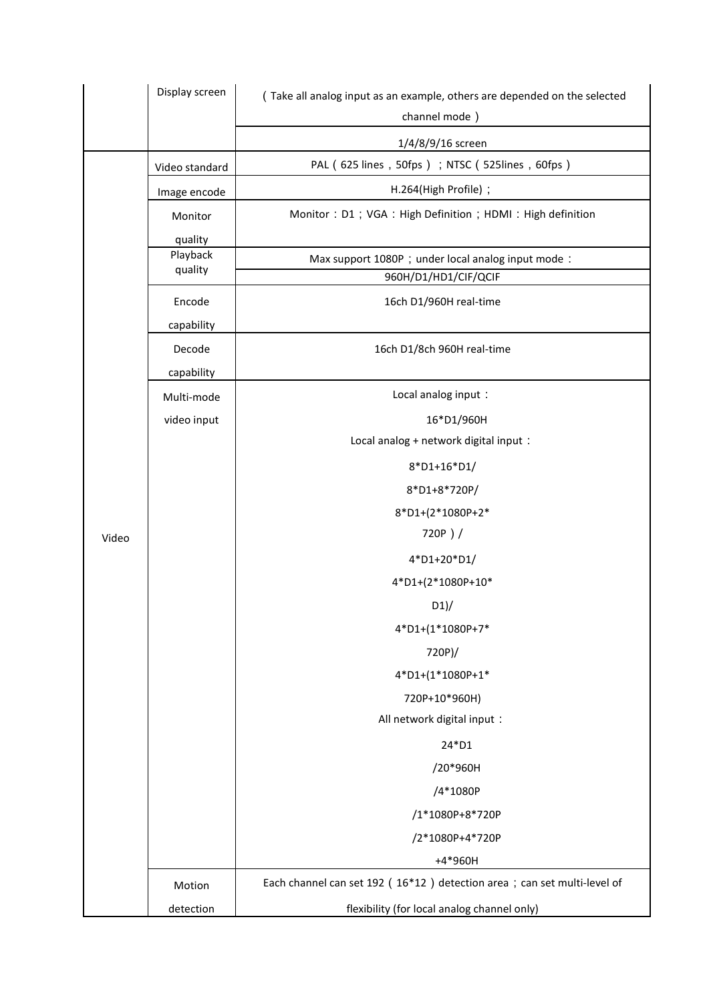|       | Display screen                 | (Take all analog input as an example, others are depended on the selected<br>channel mode) |
|-------|--------------------------------|--------------------------------------------------------------------------------------------|
|       |                                | 1/4/8/9/16 screen                                                                          |
|       | Video standard                 | PAL (625 lines, 50fps); NTSC (525lines, 60fps)                                             |
|       | Image encode                   | H.264(High Profile) ;                                                                      |
|       | Monitor                        | Monitor: D1; VGA: High Definition; HDMI: High definition                                   |
|       | quality<br>Playback<br>quality | Max support 1080P; under local analog input mode:<br>960H/D1/HD1/CIF/QCIF                  |
|       | Encode<br>capability           | 16ch D1/960H real-time                                                                     |
|       | Decode<br>capability           | 16ch D1/8ch 960H real-time                                                                 |
|       | Multi-mode                     | Local analog input:                                                                        |
|       | video input                    | 16*D1/960H                                                                                 |
|       |                                | Local analog + network digital input :                                                     |
|       |                                | 8*D1+16*D1/                                                                                |
|       |                                | 8*D1+8*720P/                                                                               |
|       |                                | 8*D1+(2*1080P+2*                                                                           |
| Video |                                | 720P)/                                                                                     |
|       |                                | 4*D1+20*D1/                                                                                |
|       |                                | 4*D1+(2*1080P+10*                                                                          |
|       |                                | D1                                                                                         |
|       |                                | 4*D1+(1*1080P+7*                                                                           |
|       |                                | 720P)/                                                                                     |
|       |                                | 4*D1+(1*1080P+1*                                                                           |
|       |                                | 720P+10*960H)                                                                              |
|       |                                | All network digital input :                                                                |
|       |                                | 24*D1                                                                                      |
|       |                                | /20*960H                                                                                   |
|       |                                | /4*1080P                                                                                   |
|       |                                | /1*1080P+8*720P                                                                            |
|       |                                | /2*1080P+4*720P                                                                            |
|       |                                | +4*960H                                                                                    |
|       | Motion                         | Each channel can set 192 (16*12) detection area; can set multi-level of                    |
|       | detection                      | flexibility (for local analog channel only)                                                |